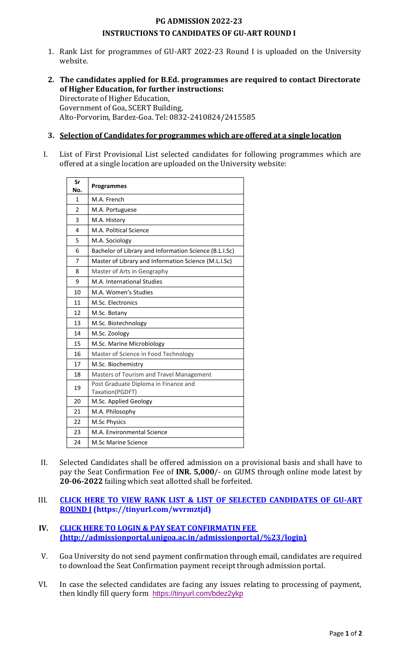## **PG ADMISSION 2022-23 INSTRUCTIONS TO CANDIDATES OF GU-ART ROUND I**

- 1. Rank List for programmes of GU-ART 2022-23 Round I is uploaded on the University website.
- **2. The candidates applied for B.Ed. programmes are required to contact Directorate of Higher Education, for further instructions:** Directorate of Higher Education, Government of Goa, SCERT Building, Alto-Porvorim, Bardez-Goa. Tel: 0832-2410824/2415585

## **3. Selection of Candidates for programmes which are offered at a single location**

I. List of First Provisional List selected candidates for following programmes which are offered at a single location are uploaded on the University website:

| Sr<br>No.      | <b>Programmes</b>                                       |
|----------------|---------------------------------------------------------|
| 1              | M.A. French                                             |
| $\mathfrak{p}$ | M.A. Portuguese                                         |
| 3              | M.A. History                                            |
| 4              | M.A. Political Science                                  |
| 5              | M.A. Sociology                                          |
| 6              | Bachelor of Library and Information Science (B.L.I.Sc)  |
| 7              | Master of Library and Information Science (M.L.I.Sc)    |
| 8              | Master of Arts in Geography                             |
| 9              | M.A. International Studies                              |
| 10             | M.A. Women's Studies                                    |
| 11             | M.Sc. Electronics                                       |
| 12             | M.Sc. Botany                                            |
| 13             | M.Sc. Biotechnology                                     |
| 14             | M.Sc. Zoology                                           |
| 15             | M.Sc. Marine Microbiology                               |
| 16             | Master of Science in Food Technology                    |
| 17             | M.Sc. Biochemistry                                      |
| 18             | Masters of Tourism and Travel Management                |
| 19             | Post Graduate Diploma in Finance and<br>Taxation(PGDFT) |
| 20             | M.Sc. Applied Geology                                   |
| 21             | M.A. Philosophy                                         |
| 22             | M.Sc Physics                                            |
| 23             | M.A. Environmental Science                              |
| 24             | <b>M.Sc Marine Science</b>                              |

- II. Selected Candidates shall be offered admission on a provisional basis and shall have to pay the Seat Confirmation Fee of **INR. 5,000**/- on GUMS through online mode latest by **20-06-2022** failing which seat allotted shall be forfeited.
- III. **[CLICK HERE TO VIEW RANK LIST & LIST OF SELECTED CANDIDATES OF GU-ART](https://tinyurl.com/wvrmztjd) [ROUND](http://admissionportal.unigoa.ac.in/admissionportal/%23/admissionAnnouncements) I (https://tinyurl.com/wvrmztjd)**
- **IV. CLICK HERE TO LOGIN & PAY [SEAT CONFIRMATIN](http://admissionportal.unigoa.ac.in/admissionportal/%23/login) FEE (http://admissionportal.unigoa.ac.in/admissionportal/%23/login)**
- V. Goa University do not send payment confirmation through email, candidates are required to download the Seat Confirmation payment receipt through admission portal.
- VI. In case the selected candidates are facing any issues relating to processing of payment, then kindly fill query form <https://tinyurl.com/bdez2ykp>